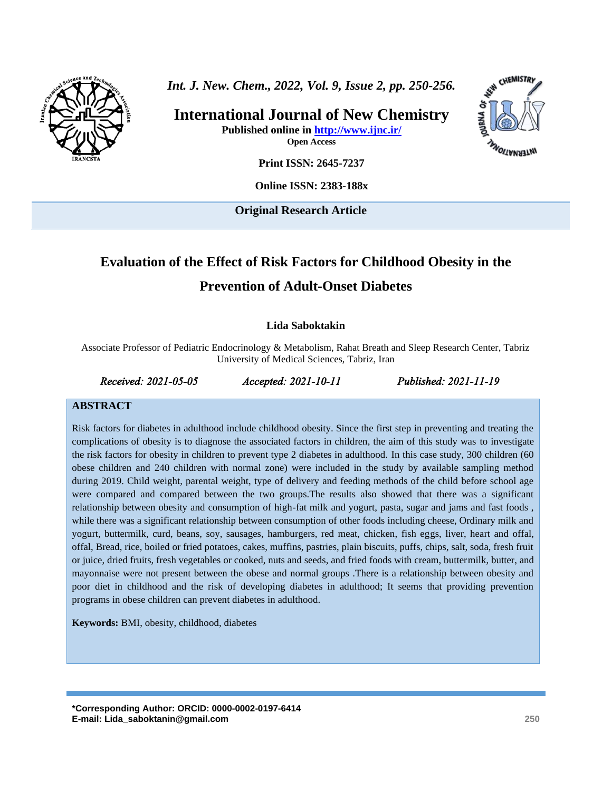

*Int. J. New. Chem., 2022, Vol. 9, Issue 2, pp. 250-256.*

**International Journal of New Chemistry Published online in<http://www.ijnc.ir/> Open Access**



**Print ISSN: 2645-7237**

**Online ISSN: 2383-188x**

**Original Research Article** 

# **Evaluation of the Effect of Risk Factors for Childhood Obesity in the Prevention of Adult-Onset Diabetes**

### **Lida Saboktakin**

Associate Professor of Pediatric Endocrinology & Metabolism, Rahat Breath and Sleep Research Center, Tabriz University of Medical Sciences, Tabriz, Iran

*Received: 2021-05-05 Accepted: 2021-10-11 Published: 2021-11-19* 

#### **ABSTRACT**

Risk factors for diabetes in adulthood include childhood obesity. Since the first step in preventing and treating the complications of obesity is to diagnose the associated factors in children, the aim of this study was to investigate the risk factors for obesity in children to prevent type 2 diabetes in adulthood. In this case study, 300 children (60 obese children and 240 children with normal zone) were included in the study by available sampling method during 2019. Child weight, parental weight, type of delivery and feeding methods of the child before school age were compared and compared between the two groups.The results also showed that there was a significant relationship between obesity and consumption of high-fat milk and yogurt, pasta, sugar and jams and fast foods , while there was a significant relationship between consumption of other foods including cheese, Ordinary milk and yogurt, buttermilk, curd, beans, soy, sausages, hamburgers, red meat, chicken, fish eggs, liver, heart and offal, offal, Bread, rice, boiled or fried potatoes, cakes, muffins, pastries, plain biscuits, puffs, chips, salt, soda, fresh fruit or juice, dried fruits, fresh vegetables or cooked, nuts and seeds, and fried foods with cream, buttermilk, butter, and mayonnaise were not present between the obese and normal groups .There is a relationship between obesity and poor diet in childhood and the risk of developing diabetes in adulthood; It seems that providing prevention programs in obese children can prevent diabetes in adulthood.

**Keywords:** BMI, obesity, childhood, diabetes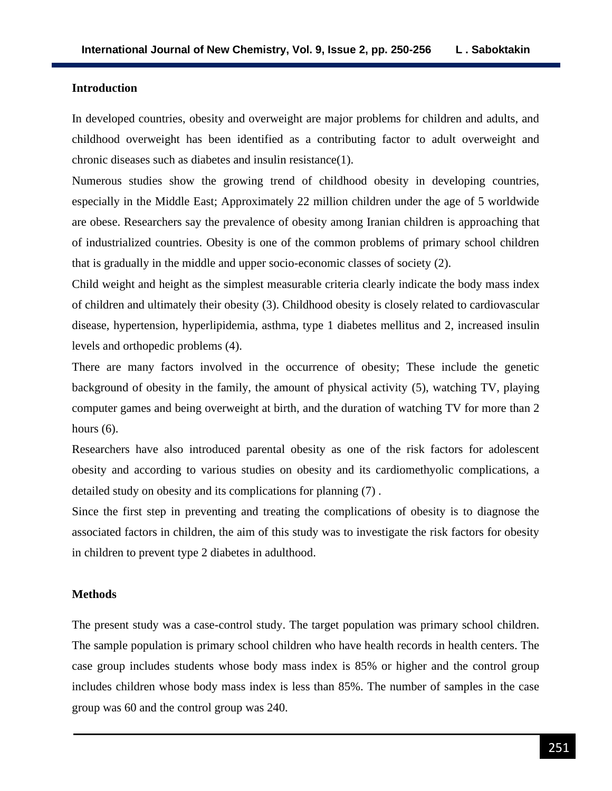#### **Introduction**

In developed countries, obesity and overweight are major problems for children and adults, and childhood overweight has been identified as a contributing factor to adult overweight and chronic diseases such as diabetes and insulin resistance(1).

Numerous studies show the growing trend of childhood obesity in developing countries, especially in the Middle East; Approximately 22 million children under the age of 5 worldwide are obese. Researchers say the prevalence of obesity among Iranian children is approaching that of industrialized countries. Obesity is one of the common problems of primary school children that is gradually in the middle and upper socio-economic classes of society (2).

Child weight and height as the simplest measurable criteria clearly indicate the body mass index of children and ultimately their obesity (3). Childhood obesity is closely related to cardiovascular disease, hypertension, hyperlipidemia, asthma, type 1 diabetes mellitus and 2, increased insulin levels and orthopedic problems (4).

There are many factors involved in the occurrence of obesity; These include the genetic background of obesity in the family, the amount of physical activity (5), watching TV, playing computer games and being overweight at birth, and the duration of watching TV for more than 2 hours  $(6)$ .

Researchers have also introduced parental obesity as one of the risk factors for adolescent obesity and according to various studies on obesity and its cardiomethyolic complications, a detailed study on obesity and its complications for planning (7) .

Since the first step in preventing and treating the complications of obesity is to diagnose the associated factors in children, the aim of this study was to investigate the risk factors for obesity in children to prevent type 2 diabetes in adulthood.

#### **Methods**

The present study was a case-control study. The target population was primary school children. The sample population is primary school children who have health records in health centers. The case group includes students whose body mass index is 85% or higher and the control group includes children whose body mass index is less than 85%. The number of samples in the case group was 60 and the control group was 240.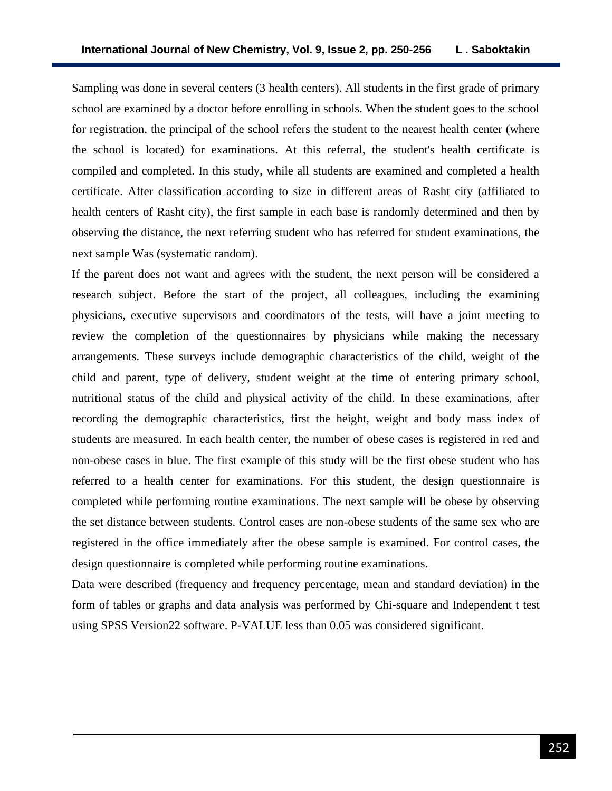Sampling was done in several centers (3 health centers). All students in the first grade of primary school are examined by a doctor before enrolling in schools. When the student goes to the school for registration, the principal of the school refers the student to the nearest health center (where the school is located) for examinations. At this referral, the student's health certificate is compiled and completed. In this study, while all students are examined and completed a health certificate. After classification according to size in different areas of Rasht city (affiliated to health centers of Rasht city), the first sample in each base is randomly determined and then by observing the distance, the next referring student who has referred for student examinations, the next sample Was (systematic random).

If the parent does not want and agrees with the student, the next person will be considered a research subject. Before the start of the project, all colleagues, including the examining physicians, executive supervisors and coordinators of the tests, will have a joint meeting to review the completion of the questionnaires by physicians while making the necessary arrangements. These surveys include demographic characteristics of the child, weight of the child and parent, type of delivery, student weight at the time of entering primary school, nutritional status of the child and physical activity of the child. In these examinations, after recording the demographic characteristics, first the height, weight and body mass index of students are measured. In each health center, the number of obese cases is registered in red and non-obese cases in blue. The first example of this study will be the first obese student who has referred to a health center for examinations. For this student, the design questionnaire is completed while performing routine examinations. The next sample will be obese by observing the set distance between students. Control cases are non-obese students of the same sex who are registered in the office immediately after the obese sample is examined. For control cases, the design questionnaire is completed while performing routine examinations.

Data were described (frequency and frequency percentage, mean and standard deviation) in the form of tables or graphs and data analysis was performed by Chi-square and Independent t test using SPSS Version22 software. P-VALUE less than 0.05 was considered significant.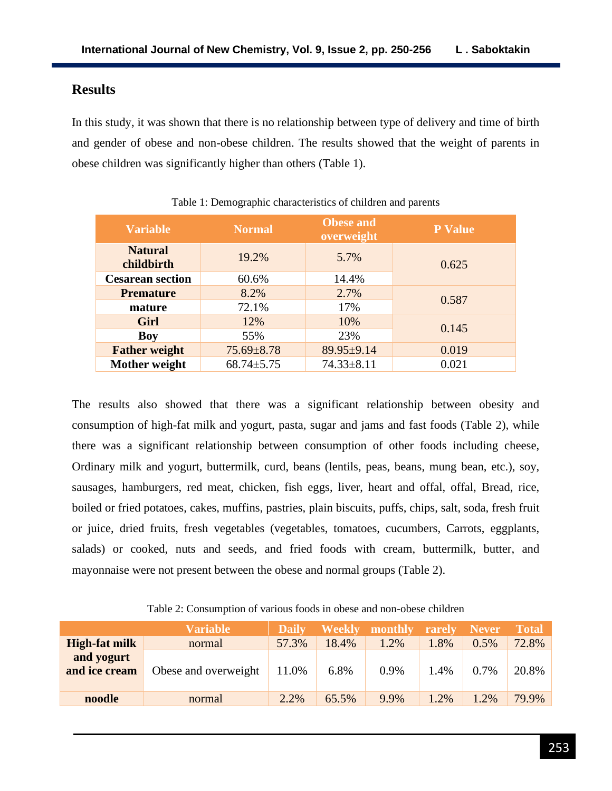# **Results**

In this study, it was shown that there is no relationship between type of delivery and time of birth and gender of obese and non-obese children. The results showed that the weight of parents in obese children was significantly higher than others (Table 1).

| <b>Variable</b>              | <b>Normal</b>    | <b>Obese and</b><br>overweight | <b>P</b> Value |
|------------------------------|------------------|--------------------------------|----------------|
| <b>Natural</b><br>childbirth | 19.2%            | 5.7%                           | 0.625          |
| <b>Cesarean section</b>      | 60.6%            | 14.4%                          |                |
| <b>Premature</b>             | 8.2%             | 2.7%                           | 0.587          |
| mature                       | 72.1%            | 17%                            |                |
| Girl                         | 12%              | 10%                            | 0.145          |
| <b>Boy</b>                   | 55%              | 23%                            |                |
| <b>Father weight</b>         | $75.69 \pm 8.78$ | 89.95±9.14                     | 0.019          |
| Mother weight                | $68.74 \pm 5.75$ | $74.33 \pm 8.11$               | 0.021          |

Table 1: Demographic characteristics of children and parents

The results also showed that there was a significant relationship between obesity and consumption of high-fat milk and yogurt, pasta, sugar and jams and fast foods (Table 2), while there was a significant relationship between consumption of other foods including cheese, Ordinary milk and yogurt, buttermilk, curd, beans (lentils, peas, beans, mung bean, etc.), soy, sausages, hamburgers, red meat, chicken, fish eggs, liver, heart and offal, offal, Bread, rice, boiled or fried potatoes, cakes, muffins, pastries, plain biscuits, puffs, chips, salt, soda, fresh fruit or juice, dried fruits, fresh vegetables (vegetables, tomatoes, cucumbers, Carrots, eggplants, salads) or cooked, nuts and seeds, and fried foods with cream, buttermilk, butter, and mayonnaise were not present between the obese and normal groups (Table 2).

|                             | <b>Variable</b>      | <b>Daily</b> | <b>Weekly</b> | monthly | rarely | <b>Never</b> | <b>Total</b> |
|-----------------------------|----------------------|--------------|---------------|---------|--------|--------------|--------------|
| High-fat milk               | normal               | 57.3%        | 18.4%         | 1.2%    | .8%    | $0.5\%$      | 72.8%        |
| and yogurt<br>and ice cream | Obese and overweight | 11.0%        | 6.8%          | 0.9%    | 1.4%   | 0.7%         | 20.8%        |
| noodle                      | normal               | 2.2%         | 65.5%         | 9.9%    | .2%    | 1.2%         | 79.9%        |

Table 2: Consumption of various foods in obese and non-obese children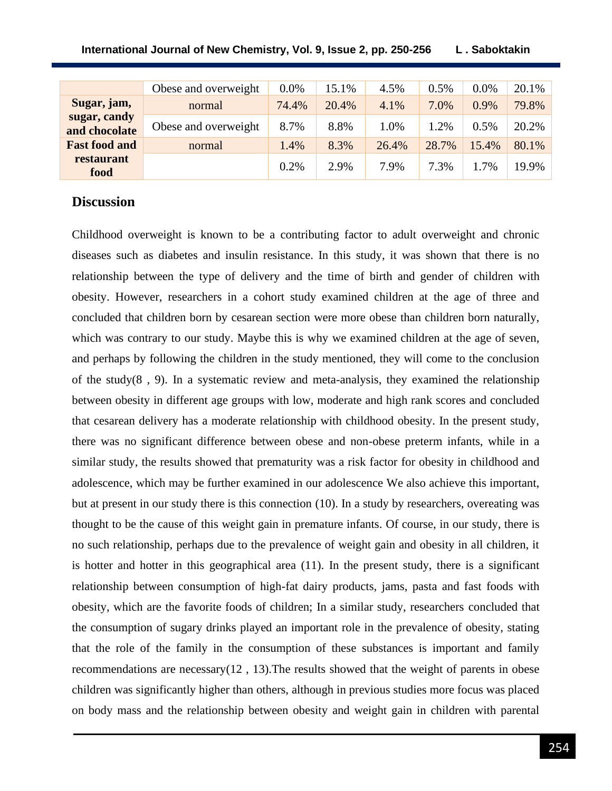| International Journal of New Chemistry, Vol. 9, Issue 2, pp. 250-256 | L. Saboktakin |
|----------------------------------------------------------------------|---------------|
|----------------------------------------------------------------------|---------------|

|                               | Obese and overweight | $0.0\%$ | 15.1% | 4.5%  | 0.5%  | $0.0\%$ | 20.1% |
|-------------------------------|----------------------|---------|-------|-------|-------|---------|-------|
| Sugar, jam,                   | normal               | 74.4%   | 20.4% | 4.1%  | 7.0%  | 0.9%    | 79.8% |
| sugar, candy<br>and chocolate | Obese and overweight | 8.7%    | 8.8%  | 1.0%  | 1.2%  | 0.5%    | 20.2% |
| <b>Fast food and</b>          | normal               | 1.4%    | 8.3%  | 26.4% | 28.7% | 15.4%   | 80.1% |
| restaurant<br>food            |                      | 0.2%    | 2.9%  | 7.9%  | 7.3%  | 1.7%    | 19.9% |

### **Discussion**

Childhood overweight is known to be a contributing factor to adult overweight and chronic diseases such as diabetes and insulin resistance. In this study, it was shown that there is no relationship between the type of delivery and the time of birth and gender of children with obesity. However, researchers in a cohort study examined children at the age of three and concluded that children born by cesarean section were more obese than children born naturally, which was contrary to our study. Maybe this is why we examined children at the age of seven, and perhaps by following the children in the study mentioned, they will come to the conclusion of the study( $8$ ,  $9$ ). In a systematic review and meta-analysis, they examined the relationship between obesity in different age groups with low, moderate and high rank scores and concluded that cesarean delivery has a moderate relationship with childhood obesity. In the present study, there was no significant difference between obese and non-obese preterm infants, while in a similar study, the results showed that prematurity was a risk factor for obesity in childhood and adolescence, which may be further examined in our adolescence We also achieve this important, but at present in our study there is this connection (10). In a study by researchers, overeating was thought to be the cause of this weight gain in premature infants. Of course, in our study, there is no such relationship, perhaps due to the prevalence of weight gain and obesity in all children, it is hotter and hotter in this geographical area (11). In the present study, there is a significant relationship between consumption of high-fat dairy products, jams, pasta and fast foods with obesity, which are the favorite foods of children; In a similar study, researchers concluded that the consumption of sugary drinks played an important role in the prevalence of obesity, stating that the role of the family in the consumption of these substances is important and family recommendations are necessary(12 , 13).The results showed that the weight of parents in obese children was significantly higher than others, although in previous studies more focus was placed on body mass and the relationship between obesity and weight gain in children with parental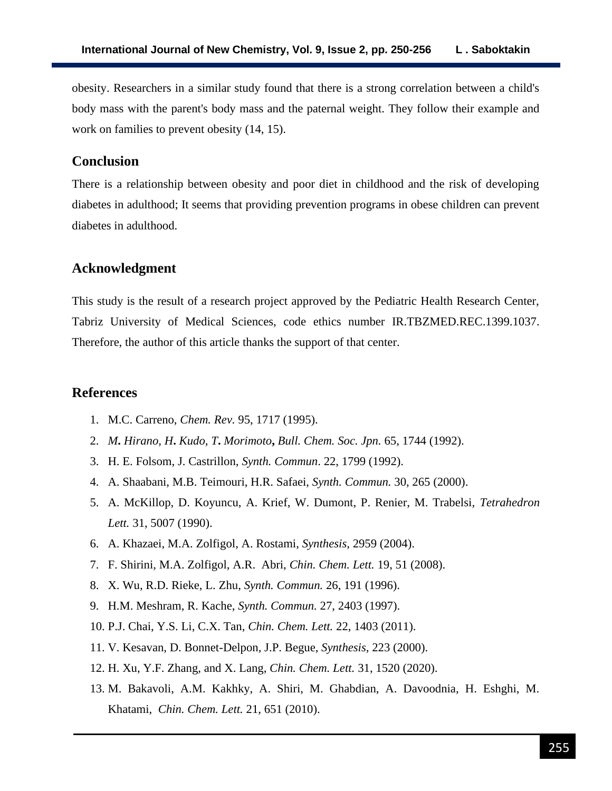obesity. Researchers in a similar study found that there is a strong correlation between a child's body mass with the parent's body mass and the paternal weight. They follow their example and work on families to prevent obesity (14, 15).

# **Conclusion**

There is a relationship between obesity and poor diet in childhood and the risk of developing diabetes in adulthood; It seems that providing prevention programs in obese children can prevent diabetes in adulthood.

### **Acknowledgment**

This study is the result of a research project approved by the Pediatric Health Research Center, Tabriz University of Medical Sciences, code ethics number IR.TBZMED.REC.1399.1037. Therefore, the author of this article thanks the support of that center.

### **References**

- 1. M.C. Carreno, *Chem. Rev.* 95, 1717 (1995).
- 2. *M***.** *Hirano, H***.** *Kudo, T***.** *Morimoto***,** *Bull. Chem. Soc. Jpn.* 65, 1744 (1992).
- 3. H. E. Folsom, J. Castrillon, *Synth. Commun*. 22, 1799 (1992).
- 4. A. Shaabani, M.B. Teimouri, H.R. Safaei, *Synth. Commun.* 30, 265 (2000).
- 5. A. McKillop, D. Koyuncu, A. Krief, W. Dumont, P. Renier, M. Trabelsi, *Tetrahedron Lett.* 31, 5007 (1990).
- 6. A. Khazaei, M.A. Zolfigol, A. Rostami, *Synthesis*, 2959 (2004).
- 7. F. Shirini, M.A. Zolfigol, A.R. Abri, *Chin. Chem. Lett.* 19, 51 (2008).
- 8. X. Wu, R.D. Rieke, L. Zhu, *Synth. Commun.* 26, 191 (1996).
- 9. H.M. Meshram, R. Kache, *Synth. Commun.* 27, 2403 (1997).
- 10. P.J. Chai, Y.S. Li, C.X. Tan, *Chin. Chem. Lett.* 22, 1403 (2011).
- 11. V. Kesavan, D. Bonnet-Delpon, J.P. Begue, *Synthesis,* 223 (2000).
- 12. H. Xu, Y.F. Zhang, and X. Lang, *Chin. Chem. Lett.* 31, 1520 (2020).
- 13. M. Bakavoli, A.M. Kakhky, A. Shiri, M. Ghabdian, A. Davoodnia, H. Eshghi, M. Khatami, *Chin. Chem. Lett.* 21, 651 (2010).